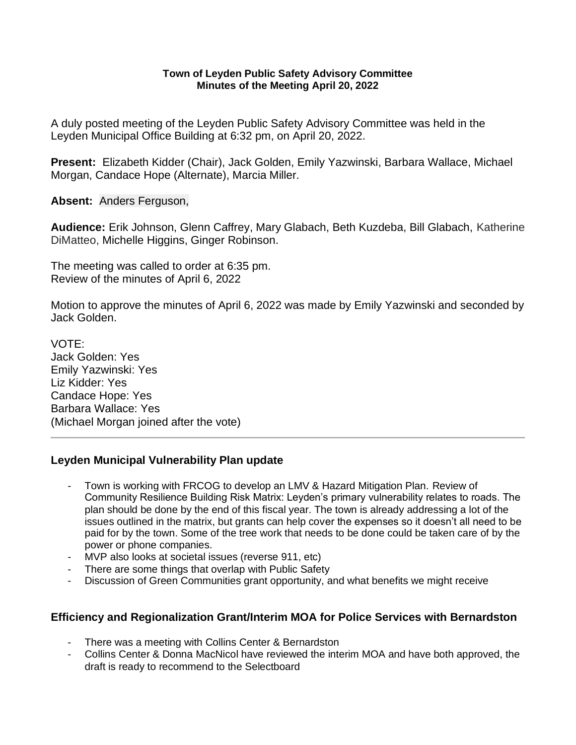#### **Town of Leyden Public Safety Advisory Committee Minutes of the Meeting April 20, 2022**

A duly posted meeting of the Leyden Public Safety Advisory Committee was held in the Leyden Municipal Office Building at 6:32 pm, on April 20, 2022.

**Present:** Elizabeth Kidder (Chair), Jack Golden, Emily Yazwinski, Barbara Wallace, Michael Morgan, Candace Hope (Alternate), Marcia Miller.

**Absent:** Anders Ferguson,

**Audience:** Erik Johnson, Glenn Caffrey, Mary Glabach, Beth Kuzdeba, Bill Glabach, Katherine DiMatteo, Michelle Higgins, Ginger Robinson.

The meeting was called to order at 6:35 pm. Review of the minutes of April 6, 2022

Motion to approve the minutes of April 6, 2022 was made by Emily Yazwinski and seconded by Jack Golden.

VOTE: Jack Golden: Yes Emily Yazwinski: Yes Liz Kidder: Yes Candace Hope: Yes Barbara Wallace: Yes (Michael Morgan joined after the vote)

# **Leyden Municipal Vulnerability Plan update**

- Town is working with FRCOG to develop an LMV & Hazard Mitigation Plan. Review of Community Resilience Building Risk Matrix: Leyden's primary vulnerability relates to roads. The plan should be done by the end of this fiscal year. The town is already addressing a lot of the issues outlined in the matrix, but grants can help cover the expenses so it doesn't all need to be paid for by the town. Some of the tree work that needs to be done could be taken care of by the power or phone companies.
- MVP also looks at societal issues (reverse 911, etc)
- There are some things that overlap with Public Safety
- Discussion of Green Communities grant opportunity, and what benefits we might receive

# **Efficiency and Regionalization Grant/Interim MOA for Police Services with Bernardston**

- There was a meeting with Collins Center & Bernardston
- Collins Center & Donna MacNicol have reviewed the interim MOA and have both approved, the draft is ready to recommend to the Selectboard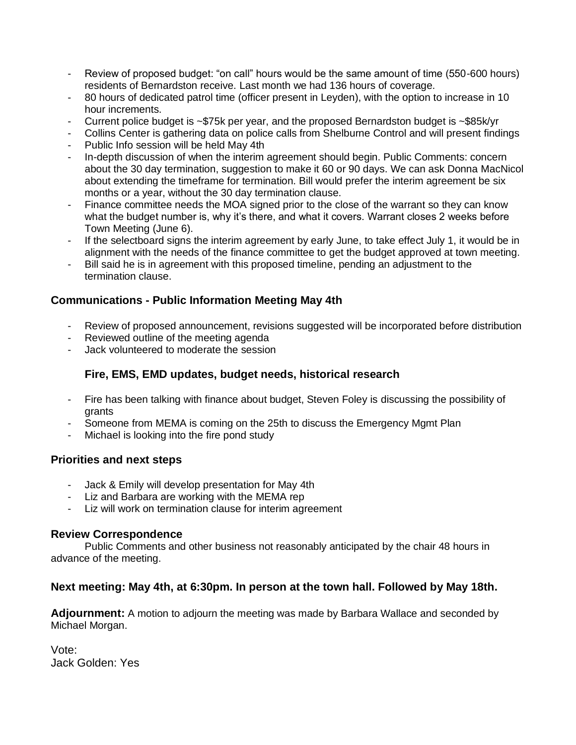- Review of proposed budget: "on call" hours would be the same amount of time (550-600 hours) residents of Bernardston receive. Last month we had 136 hours of coverage.
- 80 hours of dedicated patrol time (officer present in Leyden), with the option to increase in 10 hour increments.
- Current police budget is ~\$75k per year, and the proposed Bernardston budget is ~\$85k/yr
- Collins Center is gathering data on police calls from Shelburne Control and will present findings
- Public Info session will be held May 4th
- In-depth discussion of when the interim agreement should begin. Public Comments: concern about the 30 day termination, suggestion to make it 60 or 90 days. We can ask Donna MacNicol about extending the timeframe for termination. Bill would prefer the interim agreement be six months or a year, without the 30 day termination clause.
- Finance committee needs the MOA signed prior to the close of the warrant so they can know what the budget number is, why it's there, and what it covers. Warrant closes 2 weeks before Town Meeting (June 6).
- If the selectboard signs the interim agreement by early June, to take effect July 1, it would be in alignment with the needs of the finance committee to get the budget approved at town meeting.
- Bill said he is in agreement with this proposed timeline, pending an adjustment to the termination clause.

# **Communications - Public Information Meeting May 4th**

- Review of proposed announcement, revisions suggested will be incorporated before distribution
- Reviewed outline of the meeting agenda
- Jack volunteered to moderate the session

# **Fire, EMS, EMD updates, budget needs, historical research**

- Fire has been talking with finance about budget, Steven Foley is discussing the possibility of grants
- Someone from MEMA is coming on the 25th to discuss the Emergency Mgmt Plan
- Michael is looking into the fire pond study

# **Priorities and next steps**

- Jack & Emily will develop presentation for May 4th
- Liz and Barbara are working with the MEMA rep
- Liz will work on termination clause for interim agreement

# **Review Correspondence**

Public Comments and other business not reasonably anticipated by the chair 48 hours in advance of the meeting.

# **Next meeting: May 4th, at 6:30pm. In person at the town hall. Followed by May 18th.**

**Adjournment:** A motion to adjourn the meeting was made by Barbara Wallace and seconded by Michael Morgan.

Vote: Jack Golden: Yes